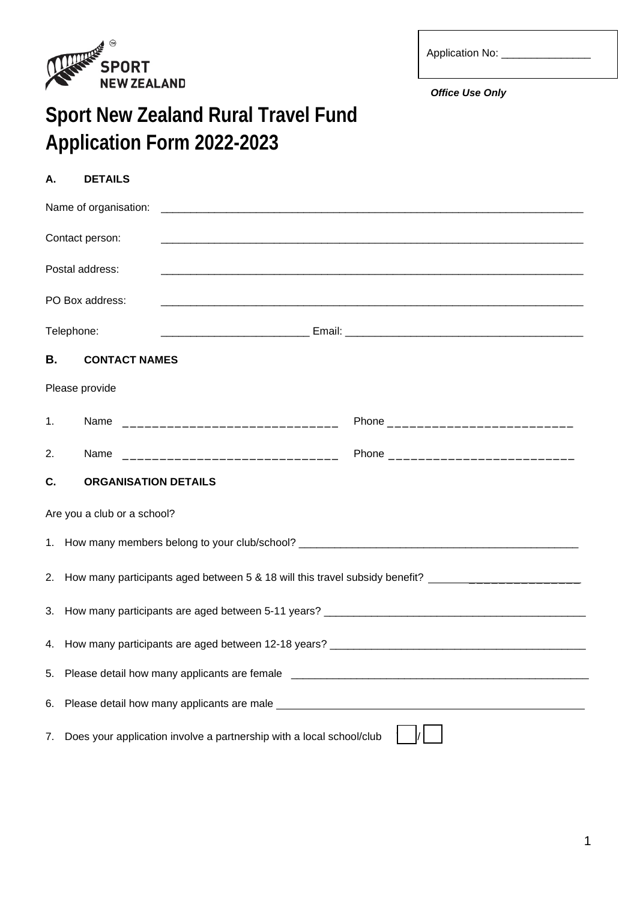

| <b>Application No:</b> |  |
|------------------------|--|
|                        |  |

*Office Use Only*

## **Sport New Zealand Rural Travel Fund Application Form 2022-2023**

| Α.        | <b>DETAILS</b>              |                                                                                                            |
|-----------|-----------------------------|------------------------------------------------------------------------------------------------------------|
|           | Name of organisation:       |                                                                                                            |
|           | Contact person:             |                                                                                                            |
|           | Postal address:             |                                                                                                            |
|           | PO Box address:             |                                                                                                            |
|           | Telephone:                  |                                                                                                            |
| <b>B.</b> | <b>CONTACT NAMES</b>        |                                                                                                            |
|           | Please provide              |                                                                                                            |
| 1.        |                             |                                                                                                            |
| 2.        |                             |                                                                                                            |
| C.        | <b>ORGANISATION DETAILS</b> |                                                                                                            |
|           | Are you a club or a school? |                                                                                                            |
|           |                             |                                                                                                            |
|           |                             | 2. How many participants aged between 5 & 18 will this travel subsidy benefit? ___________________________ |
|           |                             |                                                                                                            |
|           |                             |                                                                                                            |
| 5.        |                             |                                                                                                            |
| 6.        |                             |                                                                                                            |
| 7.        |                             | Does your application involve a partnership with a local school/club                                       |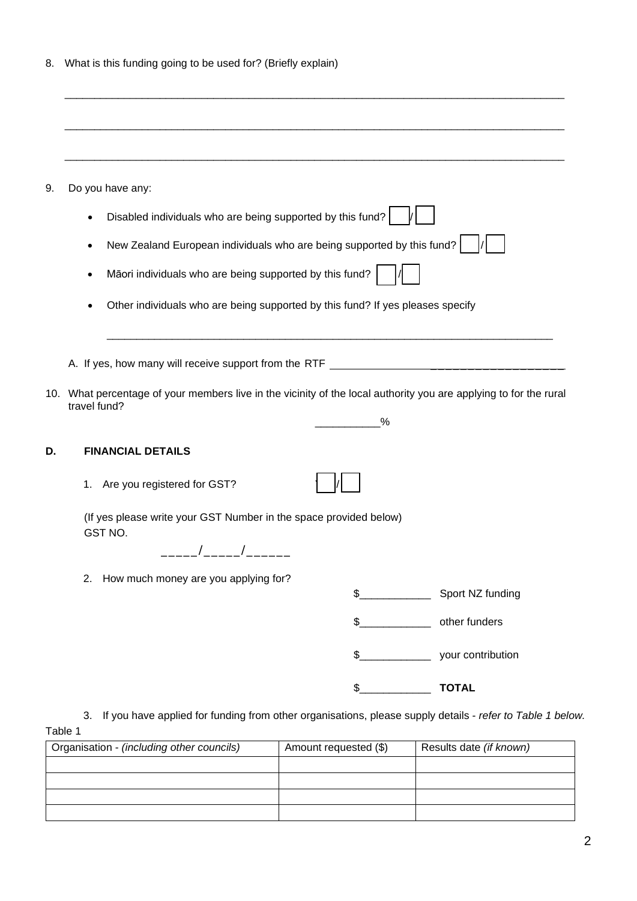|  | 8. What is this funding going to be used for? (Briefly explain) |  |  |  |  |  |  |
|--|-----------------------------------------------------------------|--|--|--|--|--|--|
|--|-----------------------------------------------------------------|--|--|--|--|--|--|

| Do you have any:                                                                                                                                                                                                                                                                                                                                                   |               |   |                   |
|--------------------------------------------------------------------------------------------------------------------------------------------------------------------------------------------------------------------------------------------------------------------------------------------------------------------------------------------------------------------|---------------|---|-------------------|
| Disabled individuals who are being supported by this fund?                                                                                                                                                                                                                                                                                                         |               |   |                   |
| New Zealand European individuals who are being supported by this fund?                                                                                                                                                                                                                                                                                             |               |   |                   |
| Māori individuals who are being supported by this fund?                                                                                                                                                                                                                                                                                                            |               |   |                   |
| Other individuals who are being supported by this fund? If yes pleases specify<br>٠                                                                                                                                                                                                                                                                                |               |   |                   |
|                                                                                                                                                                                                                                                                                                                                                                    |               |   |                   |
|                                                                                                                                                                                                                                                                                                                                                                    |               |   |                   |
|                                                                                                                                                                                                                                                                                                                                                                    |               |   |                   |
|                                                                                                                                                                                                                                                                                                                                                                    |               |   |                   |
|                                                                                                                                                                                                                                                                                                                                                                    |               | % |                   |
| <b>FINANCIAL DETAILS</b>                                                                                                                                                                                                                                                                                                                                           |               |   |                   |
| Are you registered for GST?<br>1.                                                                                                                                                                                                                                                                                                                                  |               |   |                   |
| (If yes please write your GST Number in the space provided below)<br>GST NO.                                                                                                                                                                                                                                                                                       |               |   |                   |
| A. If yes, how many will receive support from the RTF [1991] [1992] [1992] [1992] [1992] [1992] [1992] [1992] [1992] [1992] [1992] [1992] [1992] [1992] [1992] [1992] [1992] [1992] [1992] [1992] [1992] [1992] [1992] [1992]<br>10. What percentage of your members live in the vicinity of the local authority you are applying to for the rural<br>travel fund? |               |   |                   |
| How much money are you applying for?<br>2.                                                                                                                                                                                                                                                                                                                         |               |   |                   |
|                                                                                                                                                                                                                                                                                                                                                                    |               |   |                   |
|                                                                                                                                                                                                                                                                                                                                                                    | $\frac{2}{2}$ |   | other funders     |
|                                                                                                                                                                                                                                                                                                                                                                    | $\frac{1}{2}$ |   | your contribution |

3. If you have applied for funding from other organisations, please supply details - *refer to Table 1 below.* Table 1

| Organisation - (including other councils) | Amount requested (\$) | Results date (if known) |
|-------------------------------------------|-----------------------|-------------------------|
|                                           |                       |                         |
|                                           |                       |                         |
|                                           |                       |                         |
|                                           |                       |                         |